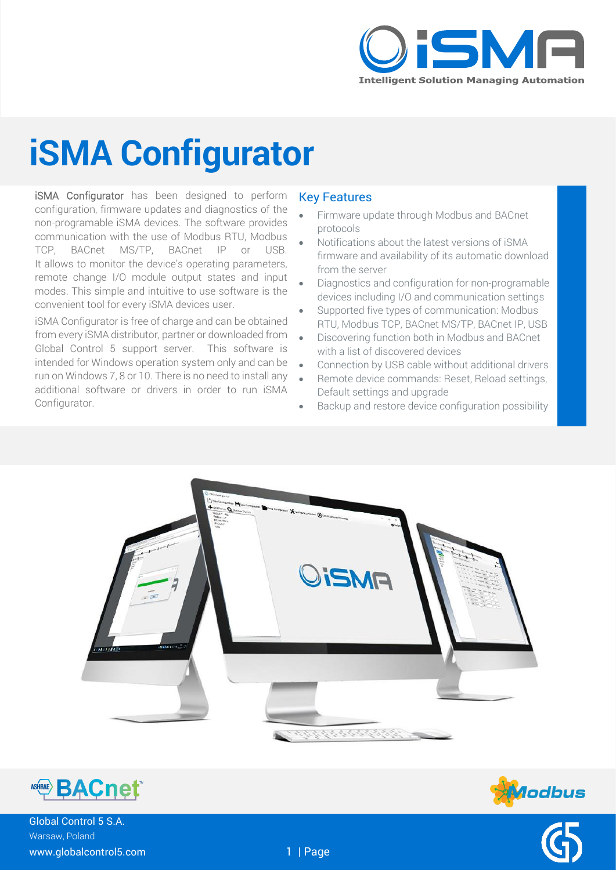

## **iSMA Configurator**

iSMA Configurator has been designed to perform configuration, firmware updates and diagnostics of the non-programable iSMA devices. The software provides communication with the use of Modbus RTU, Modbus TCP, BACnet MS/TP, BACnet IP or USB. It allows to monitor the device's operating parameters, remote change I/O module output states and input modes. This simple and intuitive to use software is the convenient tool for every iSMA devices user.

iSMA Configurator is free of charge and can be obtained from every iSMA distributor, partner or downloaded from Global Control 5 support server. This software is intended for Windows operation system only and can be run on Windows 7, 8 or 10. There is no need to install any additional software or drivers in order to run iSMA Configurator.

#### Key Features

- Firmware update through Modbus and BACnet protocols
- Notifications about the latest versions of iSMA firmware and availability of its automatic download from the server
- Diagnostics and configuration for non-programable devices including I/O and communication settings
- Supported five types of communication: Modbus RTU, Modbus TCP, BACnet MS/TP, BACnet IP, USB
- Discovering function both in Modbus and BACnet with a list of discovered devices
- Connection by USB cable without additional drivers
- Remote device commands: Reset, Reload settings, Default settings and upgrade
- Backup and restore device configuration possibility





**Aodbus** 

Global Control 5 S.A. Warsaw, Poland www.globalcontrol5.com 1 | Page